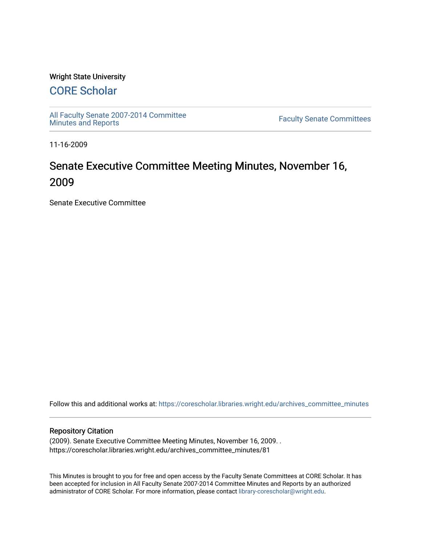## Wright State University

# [CORE Scholar](https://corescholar.libraries.wright.edu/)

[All Faculty Senate 2007-2014 Committee](https://corescholar.libraries.wright.edu/archives_committee_minutes)

**Faculty Senate Committees** 

11-16-2009

# Senate Executive Committee Meeting Minutes, November 16, 2009

Senate Executive Committee

Follow this and additional works at: [https://corescholar.libraries.wright.edu/archives\\_committee\\_minutes](https://corescholar.libraries.wright.edu/archives_committee_minutes?utm_source=corescholar.libraries.wright.edu%2Farchives_committee_minutes%2F81&utm_medium=PDF&utm_campaign=PDFCoverPages) 

#### Repository Citation

(2009). Senate Executive Committee Meeting Minutes, November 16, 2009. . https://corescholar.libraries.wright.edu/archives\_committee\_minutes/81

This Minutes is brought to you for free and open access by the Faculty Senate Committees at CORE Scholar. It has been accepted for inclusion in All Faculty Senate 2007-2014 Committee Minutes and Reports by an authorized administrator of CORE Scholar. For more information, please contact [library-corescholar@wright.edu.](mailto:library-corescholar@wright.edu)